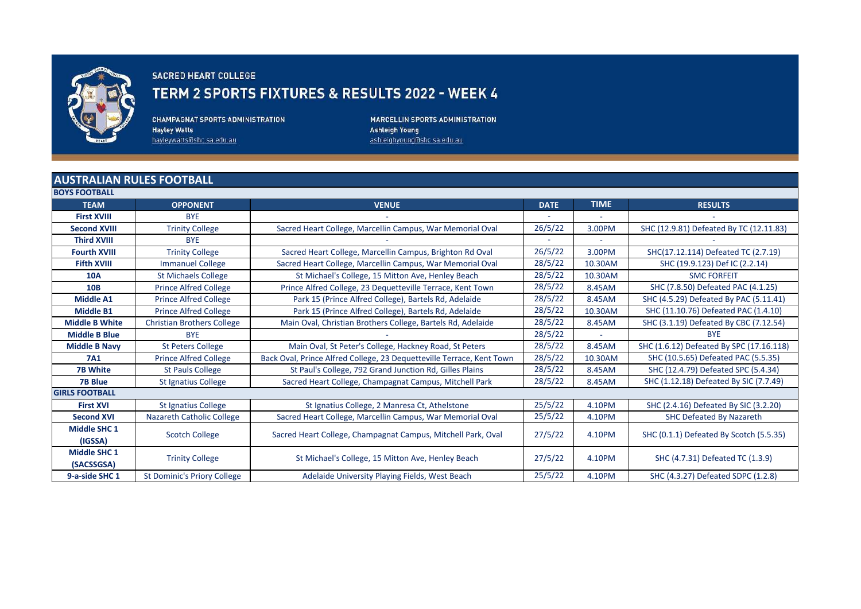

## **SACRED HEART COLLEGE**

## TERM 2 SPORTS FIXTURES & RESULTS 2022 - WEEK 4

**CHAMPAGNAT SPORTS ADMINISTRATION Hayley Watts** hayleywatts@shc.sa.edu.au

**MARCELLIN SPORTS ADMINISTRATION Ashleigh Young** ashleighyoung@shc.sa.edu.au

## **AUSTRALIAN RULES FOOTBALL**

| <b>BOYS FOOTBALL</b>              |                                    |                                                                       |             |             |                                          |
|-----------------------------------|------------------------------------|-----------------------------------------------------------------------|-------------|-------------|------------------------------------------|
| <b>TEAM</b>                       | <b>OPPONENT</b>                    | <b>VENUE</b>                                                          | <b>DATE</b> | <b>TIME</b> | <b>RESULTS</b>                           |
| <b>First XVIII</b>                | <b>BYE</b>                         |                                                                       |             | ٠           |                                          |
| <b>Second XVIII</b>               | <b>Trinity College</b>             | Sacred Heart College, Marcellin Campus, War Memorial Oval             | 26/5/22     | 3.00PM      | SHC (12.9.81) Defeated By TC (12.11.83)  |
| <b>Third XVIII</b>                | <b>BYE</b>                         |                                                                       |             |             |                                          |
| <b>Fourth XVIII</b>               | <b>Trinity College</b>             | Sacred Heart College, Marcellin Campus, Brighton Rd Oval              | 26/5/22     | 3.00PM      | SHC(17.12.114) Defeated TC (2.7.19)      |
| <b>Fifth XVIII</b>                | <b>Immanuel College</b>            | Sacred Heart College, Marcellin Campus, War Memorial Oval             | 28/5/22     | 10.30AM     | SHC (19.9.123) Def IC (2.2.14)           |
| <b>10A</b>                        | <b>St Michaels College</b>         | St Michael's College, 15 Mitton Ave, Henley Beach                     | 28/5/22     | 10.30AM     | <b>SMC FORFEIT</b>                       |
| <b>10B</b>                        | <b>Prince Alfred College</b>       | Prince Alfred College, 23 Dequetteville Terrace, Kent Town            | 28/5/22     | 8.45AM      | SHC (7.8.50) Defeated PAC (4.1.25)       |
| <b>Middle A1</b>                  | <b>Prince Alfred College</b>       | Park 15 (Prince Alfred College), Bartels Rd, Adelaide                 | 28/5/22     | 8.45AM      | SHC (4.5.29) Defeated By PAC (5.11.41)   |
| <b>Middle B1</b>                  | <b>Prince Alfred College</b>       | Park 15 (Prince Alfred College), Bartels Rd, Adelaide                 | 28/5/22     | 10.30AM     | SHC (11.10.76) Defeated PAC (1.4.10)     |
| <b>Middle B White</b>             | <b>Christian Brothers College</b>  | Main Oval, Christian Brothers College, Bartels Rd, Adelaide           | 28/5/22     | 8.45AM      | SHC (3.1.19) Defeated By CBC (7.12.54)   |
| <b>Middle B Blue</b>              | <b>BYE</b>                         |                                                                       | 28/5/22     |             | <b>BYE</b>                               |
| <b>Middle B Navy</b>              | <b>St Peters College</b>           | Main Oval, St Peter's College, Hackney Road, St Peters                | 28/5/22     | 8.45AM      | SHC (1.6.12) Defeated By SPC (17.16.118) |
| <b>7A1</b>                        | <b>Prince Alfred College</b>       | Back Oval, Prince Alfred College, 23 Dequetteville Terrace, Kent Town | 28/5/22     | 10.30AM     | SHC (10.5.65) Defeated PAC (5.5.35)      |
| <b>7B White</b>                   | <b>St Pauls College</b>            | St Paul's College, 792 Grand Junction Rd, Gilles Plains               | 28/5/22     | 8.45AM      | SHC (12.4.79) Defeated SPC (5.4.34)      |
| <b>7B Blue</b>                    | St Ignatius College                | Sacred Heart College, Champagnat Campus, Mitchell Park                | 28/5/22     | 8.45AM      | SHC (1.12.18) Defeated By SIC (7.7.49)   |
| <b>GIRLS FOOTBALL</b>             |                                    |                                                                       |             |             |                                          |
| <b>First XVI</b>                  | <b>St Ignatius College</b>         | St Ignatius College, 2 Manresa Ct, Athelstone                         | 25/5/22     | 4.10PM      | SHC (2.4.16) Defeated By SIC (3.2.20)    |
| <b>Second XVI</b>                 | <b>Nazareth Catholic College</b>   | Sacred Heart College, Marcellin Campus, War Memorial Oval             | 25/5/22     | 4.10PM      | <b>SHC Defeated By Nazareth</b>          |
| <b>Middle SHC 1</b><br>(IGSSA)    | <b>Scotch College</b>              | Sacred Heart College, Champagnat Campus, Mitchell Park, Oval          | 27/5/22     | 4.10PM      | SHC (0.1.1) Defeated By Scotch (5.5.35)  |
| <b>Middle SHC 1</b><br>(SACSSGSA) | <b>Trinity College</b>             | St Michael's College, 15 Mitton Ave, Henley Beach                     | 27/5/22     | 4.10PM      | SHC (4.7.31) Defeated TC (1.3.9)         |
| 9-a-side SHC 1                    | <b>St Dominic's Priory College</b> | Adelaide University Playing Fields, West Beach                        | 25/5/22     | 4.10PM      | SHC (4.3.27) Defeated SDPC (1.2.8)       |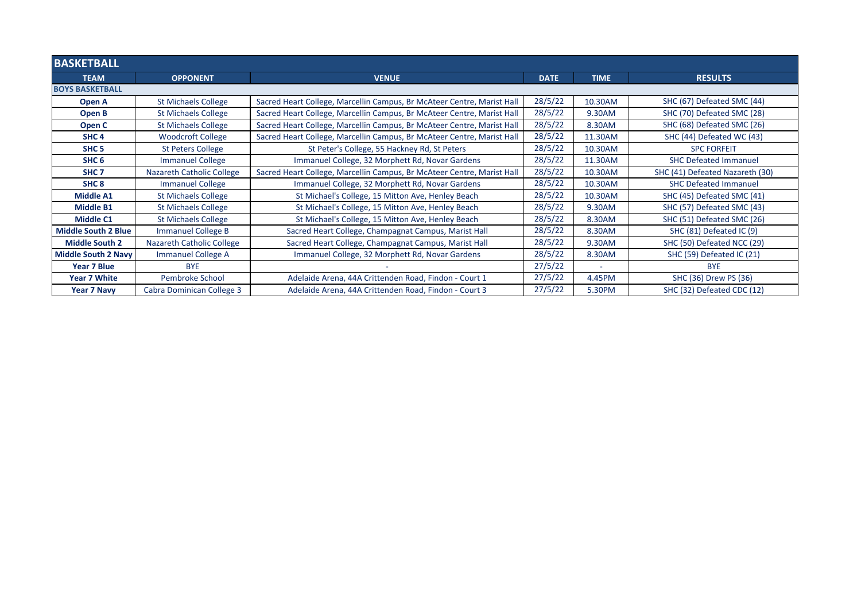| <b>BASKETBALL</b>          |                                  |                                                                        |             |             |                                 |  |
|----------------------------|----------------------------------|------------------------------------------------------------------------|-------------|-------------|---------------------------------|--|
| <b>TEAM</b>                | <b>OPPONENT</b>                  | <b>VENUE</b>                                                           | <b>DATE</b> | <b>TIME</b> | <b>RESULTS</b>                  |  |
| <b>BOYS BASKETBALL</b>     |                                  |                                                                        |             |             |                                 |  |
| Open A                     | <b>St Michaels College</b>       | Sacred Heart College, Marcellin Campus, Br McAteer Centre, Marist Hall | 28/5/22     | 10.30AM     | SHC (67) Defeated SMC (44)      |  |
| Open B                     | <b>St Michaels College</b>       | Sacred Heart College, Marcellin Campus, Br McAteer Centre, Marist Hall | 28/5/22     | 9.30AM      | SHC (70) Defeated SMC (28)      |  |
| Open C                     | <b>St Michaels College</b>       | Sacred Heart College, Marcellin Campus, Br McAteer Centre, Marist Hall | 28/5/22     | 8.30AM      | SHC (68) Defeated SMC (26)      |  |
| SHC <sub>4</sub>           | <b>Woodcroft College</b>         | Sacred Heart College, Marcellin Campus, Br McAteer Centre, Marist Hall | 28/5/22     | 11.30AM     | SHC (44) Defeated WC (43)       |  |
| SHC <sub>5</sub>           | <b>St Peters College</b>         | St Peter's College, 55 Hackney Rd, St Peters                           | 28/5/22     | 10.30AM     | <b>SPC FORFEIT</b>              |  |
| SHC <sub>6</sub>           | <b>Immanuel College</b>          | Immanuel College, 32 Morphett Rd, Novar Gardens                        | 28/5/22     | 11.30AM     | <b>SHC Defeated Immanuel</b>    |  |
| SHC <sub>7</sub>           | <b>Nazareth Catholic College</b> | Sacred Heart College, Marcellin Campus, Br McAteer Centre, Marist Hall | 28/5/22     | 10.30AM     | SHC (41) Defeated Nazareth (30) |  |
| SHC <sub>8</sub>           | <b>Immanuel College</b>          | Immanuel College, 32 Morphett Rd, Novar Gardens                        | 28/5/22     | 10.30AM     | <b>SHC Defeated Immanuel</b>    |  |
| <b>Middle A1</b>           | <b>St Michaels College</b>       | St Michael's College, 15 Mitton Ave, Henley Beach                      | 28/5/22     | 10.30AM     | SHC (45) Defeated SMC (41)      |  |
| <b>Middle B1</b>           | <b>St Michaels College</b>       | St Michael's College, 15 Mitton Ave, Henley Beach                      | 28/5/22     | 9.30AM      | SHC (57) Defeated SMC (43)      |  |
| <b>Middle C1</b>           | <b>St Michaels College</b>       | St Michael's College, 15 Mitton Ave, Henley Beach                      | 28/5/22     | 8.30AM      | SHC (51) Defeated SMC (26)      |  |
| <b>Middle South 2 Blue</b> | <b>Immanuel College B</b>        | Sacred Heart College, Champagnat Campus, Marist Hall                   | 28/5/22     | 8.30AM      | SHC (81) Defeated IC (9)        |  |
| <b>Middle South 2</b>      | Nazareth Catholic College        | Sacred Heart College, Champagnat Campus, Marist Hall                   | 28/5/22     | 9.30AM      | SHC (50) Defeated NCC (29)      |  |
| Middle South 2 Navy        | <b>Immanuel College A</b>        | Immanuel College, 32 Morphett Rd, Novar Gardens                        | 28/5/22     | 8.30AM      | SHC (59) Defeated IC (21)       |  |
| Year 7 Blue                | <b>BYE</b>                       |                                                                        | 27/5/22     | ٠           | <b>BYE</b>                      |  |
| <b>Year 7 White</b>        | Pembroke School                  | Adelaide Arena, 44A Crittenden Road, Findon - Court 1                  | 27/5/22     | 4.45PM      | SHC (36) Drew PS (36)           |  |
| <b>Year 7 Navy</b>         | Cabra Dominican College 3        | Adelaide Arena, 44A Crittenden Road, Findon - Court 3                  | 27/5/22     | 5.30PM      | SHC (32) Defeated CDC (12)      |  |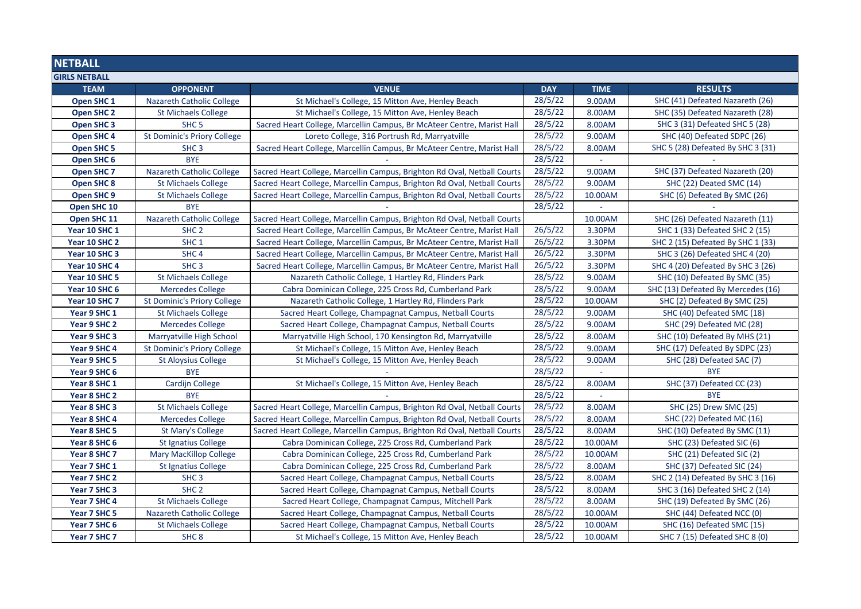| <b>NETBALL</b>        |                                    |                                                                          |            |             |                                    |  |
|-----------------------|------------------------------------|--------------------------------------------------------------------------|------------|-------------|------------------------------------|--|
| <b>GIRLS NETBALL</b>  |                                    |                                                                          |            |             |                                    |  |
| <b>TEAM</b>           | <b>OPPONENT</b>                    | <b>VENUE</b>                                                             | <b>DAY</b> | <b>TIME</b> | <b>RESULTS</b>                     |  |
| Open SHC 1            | <b>Nazareth Catholic College</b>   | St Michael's College, 15 Mitton Ave, Henley Beach                        | 28/5/22    | 9.00AM      | SHC (41) Defeated Nazareth (26)    |  |
| <b>Open SHC 2</b>     | <b>St Michaels College</b>         | St Michael's College, 15 Mitton Ave, Henley Beach                        | 28/5/22    | 8.00AM      | SHC (35) Defeated Nazareth (28)    |  |
| <b>Open SHC 3</b>     | SHC <sub>5</sub>                   | Sacred Heart College, Marcellin Campus, Br McAteer Centre, Marist Hall   | 28/5/22    | 8.00AM      | SHC 3 (31) Defeated SHC 5 (28)     |  |
| Open SHC 4            | <b>St Dominic's Priory College</b> | Loreto College, 316 Portrush Rd, Marryatville                            | 28/5/22    | 9.00AM      | SHC (40) Defeated SDPC (26)        |  |
| <b>Open SHC 5</b>     | SHC <sub>3</sub>                   | Sacred Heart College, Marcellin Campus, Br McAteer Centre, Marist Hall   | 28/5/22    | 8.00AM      | SHC 5 (28) Defeated By SHC 3 (31)  |  |
| Open SHC 6            | <b>BYE</b>                         |                                                                          | 28/5/22    |             |                                    |  |
| Open SHC <sub>7</sub> | <b>Nazareth Catholic College</b>   | Sacred Heart College, Marcellin Campus, Brighton Rd Oval, Netball Courts | 28/5/22    | 9.00AM      | SHC (37) Defeated Nazareth (20)    |  |
| <b>Open SHC 8</b>     | <b>St Michaels College</b>         | Sacred Heart College, Marcellin Campus, Brighton Rd Oval, Netball Courts | 28/5/22    | 9.00AM      | SHC (22) Deated SMC (14)           |  |
| Open SHC 9            | <b>St Michaels College</b>         | Sacred Heart College, Marcellin Campus, Brighton Rd Oval, Netball Courts | 28/5/22    | 10.00AM     | SHC (6) Defeated By SMC (26)       |  |
| Open SHC 10           | <b>BYE</b>                         |                                                                          | 28/5/22    |             |                                    |  |
| Open SHC 11           | <b>Nazareth Catholic College</b>   | Sacred Heart College, Marcellin Campus, Brighton Rd Oval, Netball Courts |            | 10.00AM     | SHC (26) Defeated Nazareth (11)    |  |
| Year 10 SHC 1         | SHC <sub>2</sub>                   | Sacred Heart College, Marcellin Campus, Br McAteer Centre, Marist Hall   | 26/5/22    | 3.30PM      | SHC 1 (33) Defeated SHC 2 (15)     |  |
| Year 10 SHC 2         | SHC <sub>1</sub>                   | Sacred Heart College, Marcellin Campus, Br McAteer Centre, Marist Hall   | 26/5/22    | 3.30PM      | SHC 2 (15) Defeated By SHC 1 (33)  |  |
| Year 10 SHC 3         | SHC <sub>4</sub>                   | Sacred Heart College, Marcellin Campus, Br McAteer Centre, Marist Hall   | 26/5/22    | 3.30PM      | SHC 3 (26) Defeated SHC 4 (20)     |  |
| Year 10 SHC 4         | SHC <sub>3</sub>                   | Sacred Heart College, Marcellin Campus, Br McAteer Centre, Marist Hall   | 26/5/22    | 3.30PM      | SHC 4 (20) Defeated By SHC 3 (26)  |  |
| Year 10 SHC 5         | <b>St Michaels College</b>         | Nazareth Catholic College, 1 Hartley Rd, Flinders Park                   | 28/5/22    | 9.00AM      | SHC (10) Defeated By SMC (35)      |  |
| Year 10 SHC 6         | <b>Mercedes College</b>            | Cabra Dominican College, 225 Cross Rd, Cumberland Park                   | 28/5/22    | 9.00AM      | SHC (13) Defeated By Mercedes (16) |  |
| Year 10 SHC 7         | <b>St Dominic's Priory College</b> | Nazareth Catholic College, 1 Hartley Rd, Flinders Park                   | 28/5/22    | 10.00AM     | SHC (2) Defeated By SMC (25)       |  |
| Year 9 SHC 1          | <b>St Michaels College</b>         | Sacred Heart College, Champagnat Campus, Netball Courts                  | 28/5/22    | 9.00AM      | SHC (40) Defeated SMC (18)         |  |
| Year 9 SHC 2          | <b>Mercedes College</b>            | Sacred Heart College, Champagnat Campus, Netball Courts                  | 28/5/22    | 9.00AM      | SHC (29) Defeated MC (28)          |  |
| Year 9 SHC 3          | Marryatville High School           | Marryatville High School, 170 Kensington Rd, Marryatville                | 28/5/22    | 8.00AM      | SHC (10) Defeated By MHS (21)      |  |
| Year 9 SHC 4          | <b>St Dominic's Priory College</b> | St Michael's College, 15 Mitton Ave, Henley Beach                        | 28/5/22    | 9.00AM      | SHC (17) Defeated By SDPC (23)     |  |
| Year 9 SHC 5          | <b>St Aloysius College</b>         | St Michael's College, 15 Mitton Ave, Henley Beach                        | 28/5/22    | 9.00AM      | SHC (28) Defeated SAC (7)          |  |
| Year 9 SHC 6          | <b>BYE</b>                         |                                                                          | 28/5/22    |             | <b>BYE</b>                         |  |
| Year 8 SHC 1          | Cardijn College                    | St Michael's College, 15 Mitton Ave, Henley Beach                        | 28/5/22    | 8.00AM      | SHC (37) Defeated CC (23)          |  |
| Year 8 SHC 2          | <b>BYE</b>                         |                                                                          | 28/5/22    |             | <b>BYE</b>                         |  |
| Year 8 SHC 3          | <b>St Michaels College</b>         | Sacred Heart College, Marcellin Campus, Brighton Rd Oval, Netball Courts | 28/5/22    | 8.00AM      | SHC (25) Drew SMC (25)             |  |
| Year 8 SHC 4          | <b>Mercedes College</b>            | Sacred Heart College, Marcellin Campus, Brighton Rd Oval, Netball Courts | 28/5/22    | 8.00AM      | SHC (22) Defeated MC (16)          |  |
| Year 8 SHC 5          | <b>St Mary's College</b>           | Sacred Heart College, Marcellin Campus, Brighton Rd Oval, Netball Courts | 28/5/22    | 8.00AM      | SHC (10) Defeated By SMC (11)      |  |
| Year 8 SHC 6          | <b>St Ignatius College</b>         | Cabra Dominican College, 225 Cross Rd, Cumberland Park                   | 28/5/22    | 10.00AM     | SHC (23) Defeated SIC (6)          |  |
| Year 8 SHC 7          | Mary MacKillop College             | Cabra Dominican College, 225 Cross Rd, Cumberland Park                   | 28/5/22    | 10.00AM     | SHC (21) Defeated SIC (2)          |  |
| Year 7 SHC 1          | <b>St Ignatius College</b>         | Cabra Dominican College, 225 Cross Rd, Cumberland Park                   | 28/5/22    | 8.00AM      | SHC (37) Defeated SIC (24)         |  |
| Year 7 SHC 2          | SHC <sub>3</sub>                   | Sacred Heart College, Champagnat Campus, Netball Courts                  | 28/5/22    | 8.00AM      | SHC 2 (14) Defeated By SHC 3 (16)  |  |
| Year 7 SHC 3          | SHC <sub>2</sub>                   | Sacred Heart College, Champagnat Campus, Netball Courts                  | 28/5/22    | 8.00AM      | SHC 3 (16) Defeated SHC 2 (14)     |  |
| Year 7 SHC 4          | <b>St Michaels College</b>         | Sacred Heart College, Champagnat Campus, Mitchell Park                   | 28/5/22    | 8.00AM      | SHC (19) Defeated By SMC (26)      |  |
| Year 7 SHC 5          | <b>Nazareth Catholic College</b>   | Sacred Heart College, Champagnat Campus, Netball Courts                  | 28/5/22    | 10.00AM     | SHC (44) Defeated NCC (0)          |  |
| Year 7 SHC 6          | <b>St Michaels College</b>         | Sacred Heart College, Champagnat Campus, Netball Courts                  | 28/5/22    | 10.00AM     | SHC (16) Defeated SMC (15)         |  |
| Year 7 SHC 7          | SHC <sub>8</sub>                   | St Michael's College, 15 Mitton Ave, Henley Beach                        | 28/5/22    | 10.00AM     | SHC 7 (15) Defeated SHC 8 (0)      |  |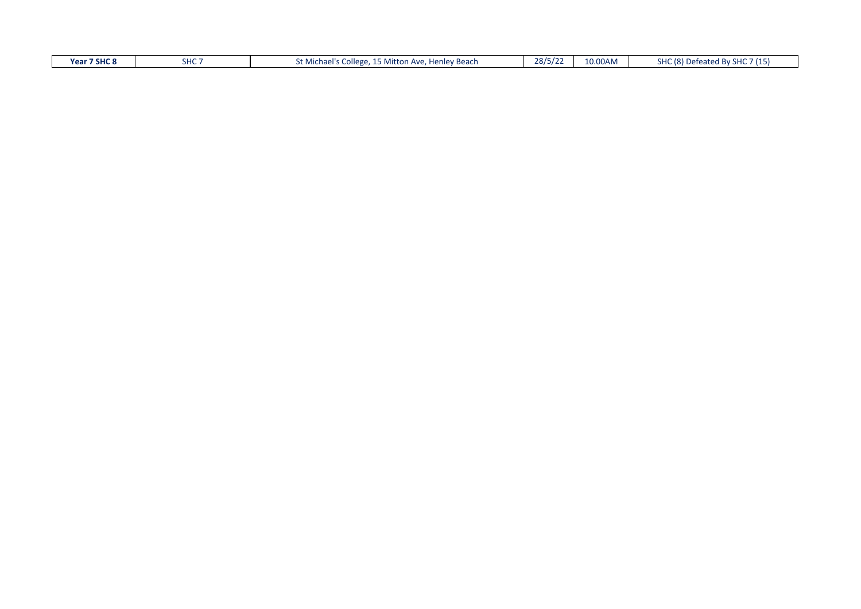| $\overline{\phantom{a}}$<br>28/5<br>10.00AM<br>07711<br>7 SHC 8<br>21107<br>.<br>$\sim$ 10).<br>Year<br>$T^*$ Mitton<br><b>Henley Beach</b><br>eated Bv SHC<br>Jefeat<br>ില്ലെ<br>a Michael"<br>$\Lambda \nu c$<br>.<br>пu<br>, iviitto<br>، ے رر<br>$-1$ v $-$<br>.<br>. |
|---------------------------------------------------------------------------------------------------------------------------------------------------------------------------------------------------------------------------------------------------------------------------|
|---------------------------------------------------------------------------------------------------------------------------------------------------------------------------------------------------------------------------------------------------------------------------|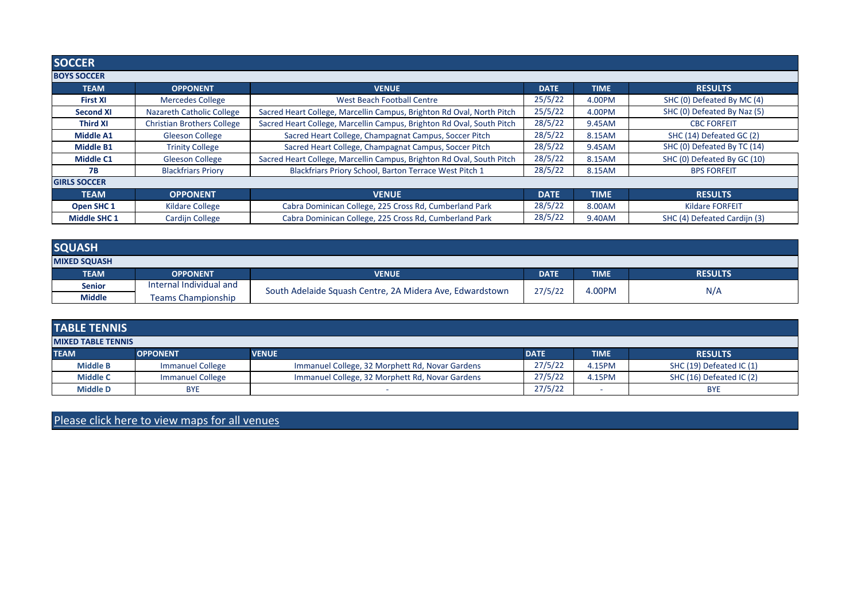| <b>SOCCER</b>       |                                   |                                                                       |             |             |                              |
|---------------------|-----------------------------------|-----------------------------------------------------------------------|-------------|-------------|------------------------------|
| <b>BOYS SOCCER</b>  |                                   |                                                                       |             |             |                              |
| <b>TEAM</b>         | <b>OPPONENT</b>                   | <b>VENUE</b>                                                          | <b>DATE</b> | <b>TIME</b> | <b>RESULTS</b>               |
| <b>First XI</b>     | <b>Mercedes College</b>           | <b>West Beach Football Centre</b>                                     | 25/5/22     | 4.00PM      | SHC (0) Defeated By MC (4)   |
| <b>Second XI</b>    | <b>Nazareth Catholic College</b>  | Sacred Heart College, Marcellin Campus, Brighton Rd Oval, North Pitch | 25/5/22     | 4.00PM      | SHC (0) Defeated By Naz (5)  |
| <b>Third XI</b>     | <b>Christian Brothers College</b> | Sacred Heart College, Marcellin Campus, Brighton Rd Oval, South Pitch | 28/5/22     | 9.45AM      | <b>CBC FORFEIT</b>           |
| <b>Middle A1</b>    | <b>Gleeson College</b>            | Sacred Heart College, Champagnat Campus, Soccer Pitch                 | 28/5/22     | 8.15AM      | SHC (14) Defeated GC (2)     |
| <b>Middle B1</b>    | <b>Trinity College</b>            | Sacred Heart College, Champagnat Campus, Soccer Pitch                 | 28/5/22     | 9.45AM      | SHC (0) Defeated By TC (14)  |
| <b>Middle C1</b>    | <b>Gleeson College</b>            | Sacred Heart College, Marcellin Campus, Brighton Rd Oval, South Pitch | 28/5/22     | 8.15AM      | SHC (0) Defeated By GC (10)  |
| <b>7B</b>           | <b>Blackfriars Priory</b>         | Blackfriars Priory School, Barton Terrace West Pitch 1                | 28/5/22     | 8.15AM      | <b>BPS FORFEIT</b>           |
| <b>GIRLS SOCCER</b> |                                   |                                                                       |             |             |                              |
| <b>TEAM</b>         | <b>OPPONENT</b>                   | <b>VENUE</b>                                                          | <b>DATE</b> | <b>TIME</b> | <b>RESULTS</b>               |
| Open SHC 1          | <b>Kildare College</b>            | Cabra Dominican College, 225 Cross Rd, Cumberland Park                | 28/5/22     | 8.00AM      | <b>Kildare FORFEIT</b>       |
| <b>Middle SHC 1</b> | Cardijn College                   | Cabra Dominican College, 225 Cross Rd, Cumberland Park                | 28/5/22     | 9.40AM      | SHC (4) Defeated Cardijn (3) |

| <b>SQUASH</b>       |                           |                                                          |             |             |                |  |
|---------------------|---------------------------|----------------------------------------------------------|-------------|-------------|----------------|--|
| <b>MIXED SQUASH</b> |                           |                                                          |             |             |                |  |
| <b>TEAM</b>         | <b>OPPONENT</b>           | <b>VENUE</b>                                             | <b>DATE</b> | <b>TIME</b> | <b>RESULTS</b> |  |
| <b>Senior</b>       | Internal Individual and   |                                                          | 27/5/22     | 4.00PM      | N/A            |  |
| <b>Middle</b>       | <b>Teams Championship</b> | South Adelaide Squash Centre, 2A Midera Ave, Edwardstown |             |             |                |  |

| <b>TABLE TENNIS</b>       |                         |                                                 |             |             |                          |  |  |
|---------------------------|-------------------------|-------------------------------------------------|-------------|-------------|--------------------------|--|--|
| <b>MIXED TABLE TENNIS</b> |                         |                                                 |             |             |                          |  |  |
| <b>TEAM</b>               | <b>OPPONENT</b>         | <b>VENUE</b>                                    | <b>DATE</b> | <b>TIME</b> | <b>RESULTS</b>           |  |  |
| <b>Middle B</b>           | <b>Immanuel College</b> | Immanuel College, 32 Morphett Rd, Novar Gardens | 27/5/22     | 4.15PM      | SHC (19) Defeated IC (1) |  |  |
| <b>Middle C</b>           | <b>Immanuel College</b> | Immanuel College, 32 Morphett Rd, Novar Gardens | 27/5/22     | 4.15PM      | SHC (16) Defeated IC (2) |  |  |
| <b>Middle D</b>           | <b>BYE</b>              |                                                 | 27/5/22     |             | <b>BYE</b>               |  |  |

Please click here to view maps for all venues